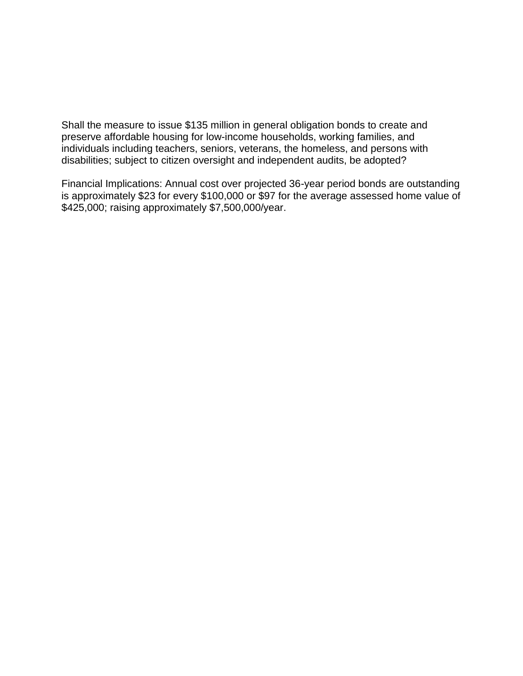Shall the measure to issue \$135 million in general obligation bonds to create and preserve affordable housing for low-income households, working families, and individuals including teachers, seniors, veterans, the homeless, and persons with disabilities; subject to citizen oversight and independent audits, be adopted?

Financial Implications: Annual cost over projected 36-year period bonds are outstanding is approximately \$23 for every \$100,000 or \$97 for the average assessed home value of \$425,000; raising approximately \$7,500,000/year.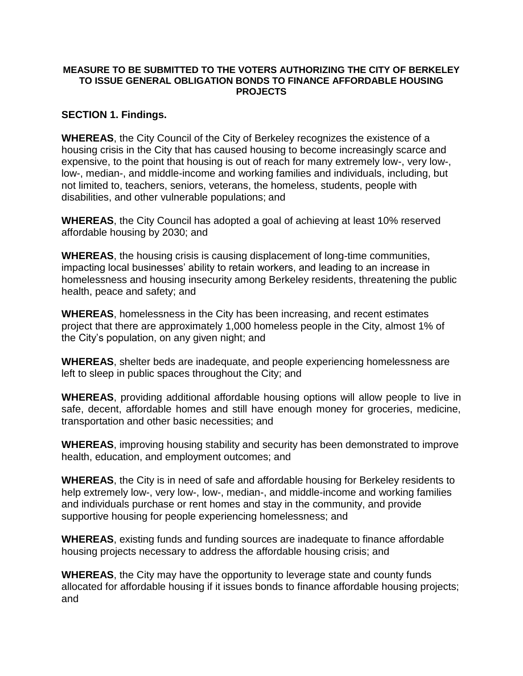#### **MEASURE TO BE SUBMITTED TO THE VOTERS AUTHORIZING THE CITY OF BERKELEY TO ISSUE GENERAL OBLIGATION BONDS TO FINANCE AFFORDABLE HOUSING PROJECTS**

#### **SECTION 1. Findings.**

**WHEREAS**, the City Council of the City of Berkeley recognizes the existence of a housing crisis in the City that has caused housing to become increasingly scarce and expensive, to the point that housing is out of reach for many extremely low-, very low-, low-, median-, and middle-income and working families and individuals, including, but not limited to, teachers, seniors, veterans, the homeless, students, people with disabilities, and other vulnerable populations; and

**WHEREAS**, the City Council has adopted a goal of achieving at least 10% reserved affordable housing by 2030; and

**WHEREAS**, the housing crisis is causing displacement of long-time communities, impacting local businesses' ability to retain workers, and leading to an increase in homelessness and housing insecurity among Berkeley residents, threatening the public health, peace and safety; and

**WHEREAS**, homelessness in the City has been increasing, and recent estimates project that there are approximately 1,000 homeless people in the City, almost 1% of the City's population, on any given night; and

**WHEREAS**, shelter beds are inadequate, and people experiencing homelessness are left to sleep in public spaces throughout the City; and

**WHEREAS**, providing additional affordable housing options will allow people to live in safe, decent, affordable homes and still have enough money for groceries, medicine, transportation and other basic necessities; and

**WHEREAS**, improving housing stability and security has been demonstrated to improve health, education, and employment outcomes; and

**WHEREAS**, the City is in need of safe and affordable housing for Berkeley residents to help extremely low-, very low-, low-, median-, and middle-income and working families and individuals purchase or rent homes and stay in the community, and provide supportive housing for people experiencing homelessness; and

**WHEREAS**, existing funds and funding sources are inadequate to finance affordable housing projects necessary to address the affordable housing crisis; and

**WHEREAS**, the City may have the opportunity to leverage state and county funds allocated for affordable housing if it issues bonds to finance affordable housing projects; and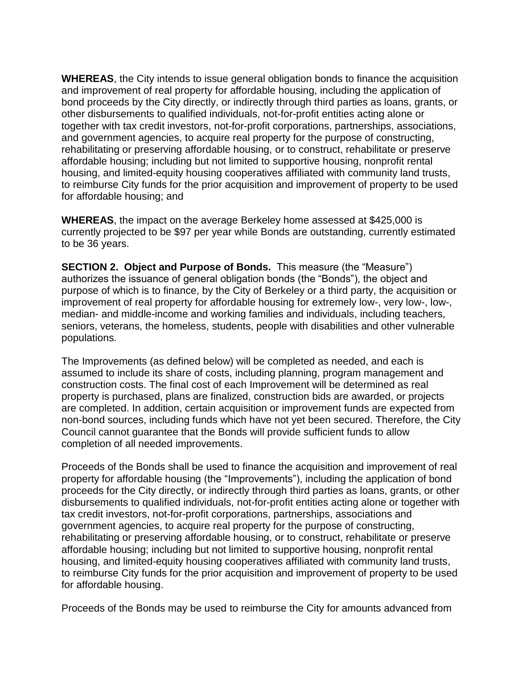**WHEREAS**, the City intends to issue general obligation bonds to finance the acquisition and improvement of real property for affordable housing, including the application of bond proceeds by the City directly, or indirectly through third parties as loans, grants, or other disbursements to qualified individuals, not-for-profit entities acting alone or together with tax credit investors, not-for-profit corporations, partnerships, associations, and government agencies, to acquire real property for the purpose of constructing, rehabilitating or preserving affordable housing, or to construct, rehabilitate or preserve affordable housing; including but not limited to supportive housing, nonprofit rental housing, and limited-equity housing cooperatives affiliated with community land trusts, to reimburse City funds for the prior acquisition and improvement of property to be used for affordable housing; and

**WHEREAS**, the impact on the average Berkeley home assessed at \$425,000 is currently projected to be \$97 per year while Bonds are outstanding, currently estimated to be 36 years.

**SECTION 2. Object and Purpose of Bonds.** This measure (the "Measure") authorizes the issuance of general obligation bonds (the "Bonds"), the object and purpose of which is to finance, by the City of Berkeley or a third party, the acquisition or improvement of real property for affordable housing for extremely low-, very low-, low-, median- and middle-income and working families and individuals, including teachers, seniors, veterans, the homeless, students, people with disabilities and other vulnerable populations.

The Improvements (as defined below) will be completed as needed, and each is assumed to include its share of costs, including planning, program management and construction costs. The final cost of each Improvement will be determined as real property is purchased, plans are finalized, construction bids are awarded, or projects are completed. In addition, certain acquisition or improvement funds are expected from non-bond sources, including funds which have not yet been secured. Therefore, the City Council cannot guarantee that the Bonds will provide sufficient funds to allow completion of all needed improvements.

Proceeds of the Bonds shall be used to finance the acquisition and improvement of real property for affordable housing (the "Improvements"), including the application of bond proceeds for the City directly, or indirectly through third parties as loans, grants, or other disbursements to qualified individuals, not-for-profit entities acting alone or together with tax credit investors, not-for-profit corporations, partnerships, associations and government agencies, to acquire real property for the purpose of constructing, rehabilitating or preserving affordable housing, or to construct, rehabilitate or preserve affordable housing; including but not limited to supportive housing, nonprofit rental housing, and limited-equity housing cooperatives affiliated with community land trusts, to reimburse City funds for the prior acquisition and improvement of property to be used for affordable housing.

Proceeds of the Bonds may be used to reimburse the City for amounts advanced from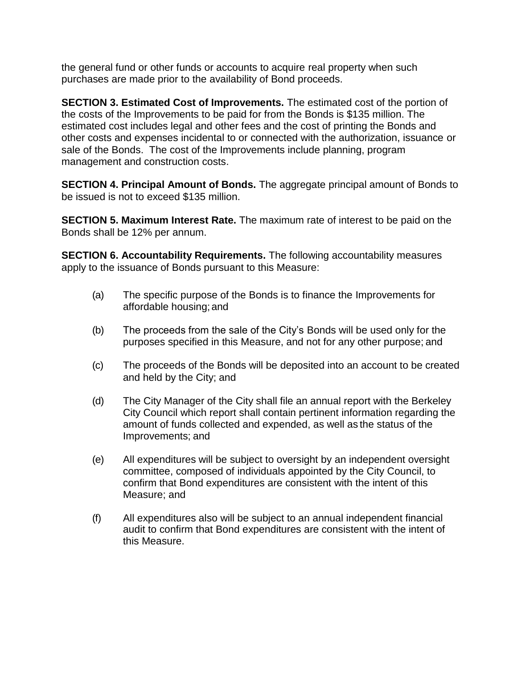the general fund or other funds or accounts to acquire real property when such purchases are made prior to the availability of Bond proceeds.

**SECTION 3. Estimated Cost of Improvements.** The estimated cost of the portion of the costs of the Improvements to be paid for from the Bonds is \$135 million. The estimated cost includes legal and other fees and the cost of printing the Bonds and other costs and expenses incidental to or connected with the authorization, issuance or sale of the Bonds. The cost of the Improvements include planning, program management and construction costs.

**SECTION 4. Principal Amount of Bonds.** The aggregate principal amount of Bonds to be issued is not to exceed \$135 million.

**SECTION 5. Maximum Interest Rate.** The maximum rate of interest to be paid on the Bonds shall be 12% per annum.

**SECTION 6. Accountability Requirements.** The following accountability measures apply to the issuance of Bonds pursuant to this Measure:

- (a) The specific purpose of the Bonds is to finance the Improvements for affordable housing; and
- (b) The proceeds from the sale of the City's Bonds will be used only for the purposes specified in this Measure, and not for any other purpose; and
- (c) The proceeds of the Bonds will be deposited into an account to be created and held by the City; and
- (d) The City Manager of the City shall file an annual report with the Berkeley City Council which report shall contain pertinent information regarding the amount of funds collected and expended, as well as the status of the Improvements; and
- (e) All expenditures will be subject to oversight by an independent oversight committee, composed of individuals appointed by the City Council, to confirm that Bond expenditures are consistent with the intent of this Measure; and
- (f) All expenditures also will be subject to an annual independent financial audit to confirm that Bond expenditures are consistent with the intent of this Measure.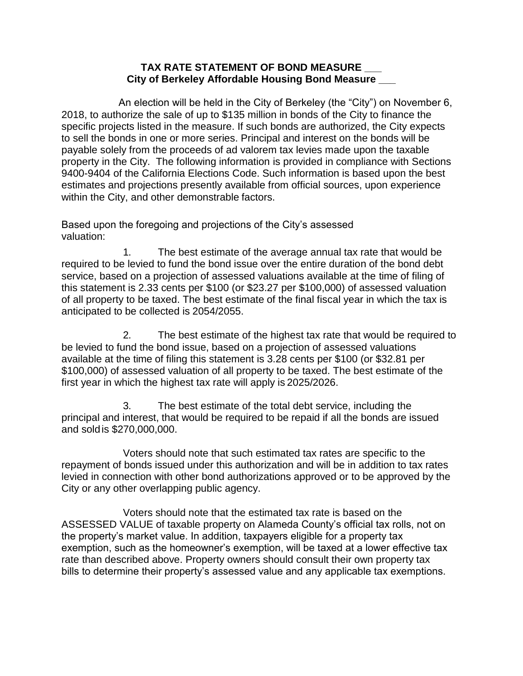#### **TAX RATE STATEMENT OF BOND MEASURE \_\_\_ City of Berkeley Affordable Housing Bond Measure \_\_\_**

An election will be held in the City of Berkeley (the "City") on November 6, 2018, to authorize the sale of up to \$135 million in bonds of the City to finance the specific projects listed in the measure. If such bonds are authorized, the City expects to sell the bonds in one or more series. Principal and interest on the bonds will be payable solely from the proceeds of ad valorem tax levies made upon the taxable property in the City. The following information is provided in compliance with Sections 9400-9404 of the California Elections Code. Such information is based upon the best estimates and projections presently available from official sources, upon experience within the City, and other demonstrable factors.

Based upon the foregoing and projections of the City's assessed valuation:

1. The best estimate of the average annual tax rate that would be required to be levied to fund the bond issue over the entire duration of the bond debt service, based on a projection of assessed valuations available at the time of filing of this statement is 2.33 cents per \$100 (or \$23.27 per \$100,000) of assessed valuation of all property to be taxed. The best estimate of the final fiscal year in which the tax is anticipated to be collected is 2054/2055.

2. The best estimate of the highest tax rate that would be required to be levied to fund the bond issue, based on a projection of assessed valuations available at the time of filing this statement is 3.28 cents per \$100 (or \$32.81 per \$100,000) of assessed valuation of all property to be taxed. The best estimate of the first year in which the highest tax rate will apply is 2025/2026.

3. The best estimate of the total debt service, including the principal and interest, that would be required to be repaid if all the bonds are issued and soldis \$270,000,000.

Voters should note that such estimated tax rates are specific to the repayment of bonds issued under this authorization and will be in addition to tax rates levied in connection with other bond authorizations approved or to be approved by the City or any other overlapping public agency.

Voters should note that the estimated tax rate is based on the ASSESSED VALUE of taxable property on Alameda County's official tax rolls, not on the property's market value. In addition, taxpayers eligible for a property tax exemption, such as the homeowner's exemption, will be taxed at a lower effective tax rate than described above. Property owners should consult their own property tax bills to determine their property's assessed value and any applicable tax exemptions.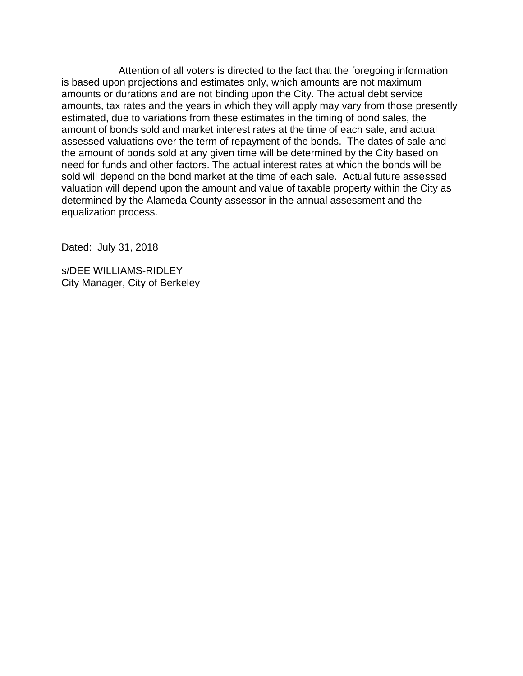Attention of all voters is directed to the fact that the foregoing information is based upon projections and estimates only, which amounts are not maximum amounts or durations and are not binding upon the City. The actual debt service amounts, tax rates and the years in which they will apply may vary from those presently estimated, due to variations from these estimates in the timing of bond sales, the amount of bonds sold and market interest rates at the time of each sale, and actual assessed valuations over the term of repayment of the bonds. The dates of sale and the amount of bonds sold at any given time will be determined by the City based on need for funds and other factors. The actual interest rates at which the bonds will be sold will depend on the bond market at the time of each sale. Actual future assessed valuation will depend upon the amount and value of taxable property within the City as determined by the Alameda County assessor in the annual assessment and the equalization process.

Dated: July 31, 2018

s/DEE WILLIAMS-RIDLEY City Manager, City of Berkeley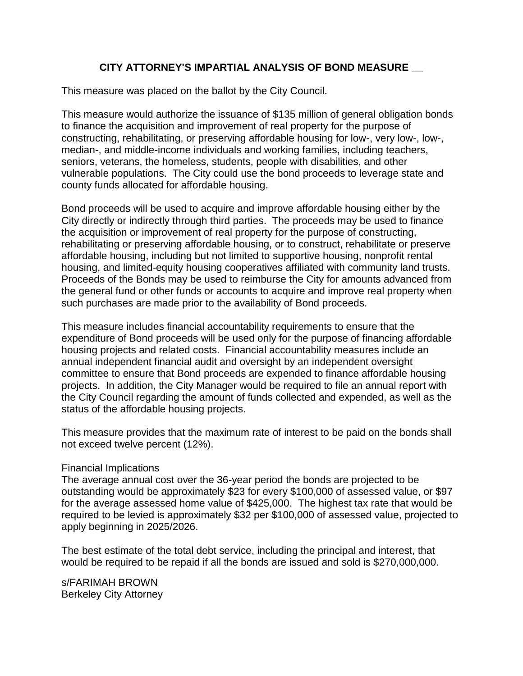#### **CITY ATTORNEY'S IMPARTIAL ANALYSIS OF BOND MEASURE \_\_**

This measure was placed on the ballot by the City Council.

This measure would authorize the issuance of \$135 million of general obligation bonds to finance the acquisition and improvement of real property for the purpose of constructing, rehabilitating, or preserving affordable housing for low-, very low-, low-, median-, and middle-income individuals and working families, including teachers, seniors, veterans, the homeless, students, people with disabilities, and other vulnerable populations. The City could use the bond proceeds to leverage state and county funds allocated for affordable housing.

Bond proceeds will be used to acquire and improve affordable housing either by the City directly or indirectly through third parties. The proceeds may be used to finance the acquisition or improvement of real property for the purpose of constructing, rehabilitating or preserving affordable housing, or to construct, rehabilitate or preserve affordable housing, including but not limited to supportive housing, nonprofit rental housing, and limited-equity housing cooperatives affiliated with community land trusts. Proceeds of the Bonds may be used to reimburse the City for amounts advanced from the general fund or other funds or accounts to acquire and improve real property when such purchases are made prior to the availability of Bond proceeds.

This measure includes financial accountability requirements to ensure that the expenditure of Bond proceeds will be used only for the purpose of financing affordable housing projects and related costs. Financial accountability measures include an annual independent financial audit and oversight by an independent oversight committee to ensure that Bond proceeds are expended to finance affordable housing projects. In addition, the City Manager would be required to file an annual report with the City Council regarding the amount of funds collected and expended, as well as the status of the affordable housing projects.

This measure provides that the maximum rate of interest to be paid on the bonds shall not exceed twelve percent (12%).

#### Financial Implications

The average annual cost over the 36-year period the bonds are projected to be outstanding would be approximately \$23 for every \$100,000 of assessed value, or \$97 for the average assessed home value of \$425,000. The highest tax rate that would be required to be levied is approximately \$32 per \$100,000 of assessed value, projected to apply beginning in 2025/2026.

The best estimate of the total debt service, including the principal and interest, that would be required to be repaid if all the bonds are issued and sold is \$270,000,000.

s/FARIMAH BROWN Berkeley City Attorney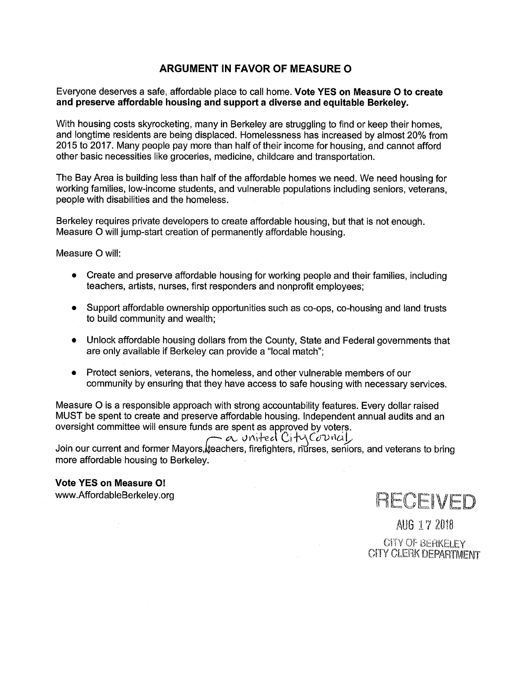#### ARGUMENT IN FAVOR OF MEASURE O

Everyone deserves a safe, affordable place to call home. Vote YES on Measure O to create and preserve affordable housing and support a diverse and equitable Berkeley.

With housing costs skyrocketing, many in Berkeley are struggling to find or keep their homes. and longtime residents are being displaced. Homelessness has increased by almost 20% from 2015 to 2017. Many people pay more than half of their income for housing, and cannot afford other basic necessities like groceries, medicine, childcare and transportation,

The Bay Area is building less than half of the affordable homes we need. We need housing for working families, low-income students, and vulnerable populations including seniors, veterans, people with disabilities and the homeless.

Berkeley requires private developers to create affordable housing, but that is not enough. Measure O will jump-start creation of permanently affordable housing.

Measure O will:

- Create and preserve affordable housing for working people and their families, including teachers, artists, nurses, first responders and nonprofit employees;
- Support affordable ownership opportunities such as co-ops, co-housing and land trusts to build community and wealth;
- Unlock affordable housing dollars from the County, State and Federal governments that are only available if Berkeley can provide a "local match";
- Protect seniors, veterans, the homeless, and other vulnerable members of our community by ensuring that they have access to safe housing with necessary services.

Measure O is a responsible approach with strong accountability features. Every dollar raised MUST be spent to create and preserve affordable housing. Independent annual audits and an oversight committee will ensure funds are spent as approved by voters.

Join our current and former Mayors, the achers, firefighters, nurses, seniors, and veterans to bring more affordable housing to Berkeley.

#### **Vote YES on Measure O!**

www.AffordableBerkeley.org



AUG 17 2018 **CITY OF BERKELEY** CITY CLERK DEPARTMENT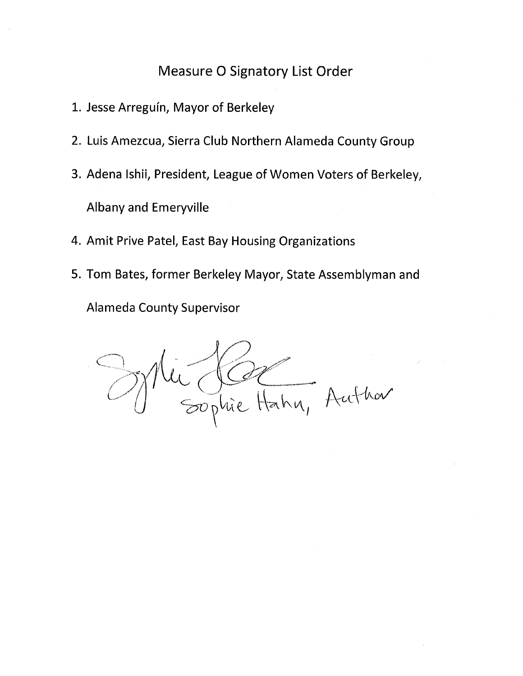### **Measure O Signatory List Order**

- 1. Jesse Arreguín, Mayor of Berkeley
- 2. Luis Amezcua, Sierra Club Northern Alameda County Group
- 3. Adena Ishii, President, League of Women Voters of Berkeley, **Albany and Emeryville**
- 4. Amit Prive Patel, East Bay Housing Organizations
- 5. Tom Bates, former Berkeley Mayor, State Assemblyman and

**Alameda County Supervisor** 

Nic Clare Hahn, Author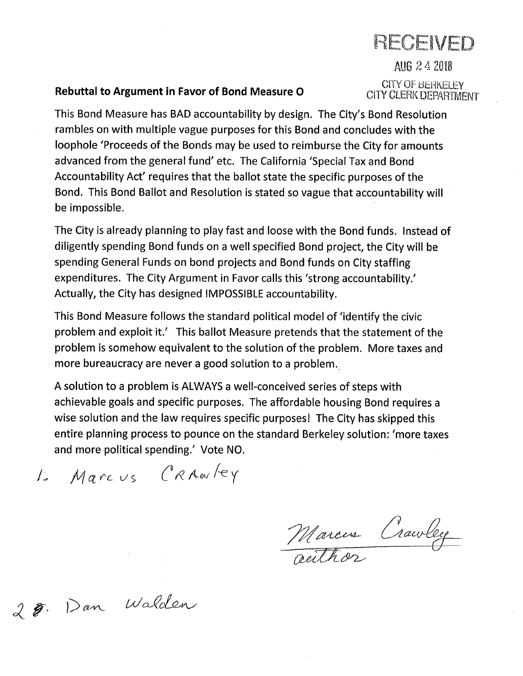# RECEIVED

AUG 2 4 2018 **CITY OF BERKELEY CITY CLERK DEPARTMENT** 

### Rebuttal to Argument in Favor of Bond Measure O

This Bond Measure has BAD accountability by design. The City's Bond Resolution rambles on with multiple vague purposes for this Bond and concludes with the loophole 'Proceeds of the Bonds may be used to reimburse the City for amounts advanced from the general fund' etc. The California 'Special Tax and Bond Accountability Act' requires that the ballot state the specific purposes of the Bond. This Bond Ballot and Resolution is stated so vague that accountability will be impossible.

The City is already planning to play fast and loose with the Bond funds. Instead of diligently spending Bond funds on a well specified Bond project, the City will be spending General Funds on bond projects and Bond funds on City staffing expenditures. The City Argument in Favor calls this 'strong accountability.' Actually, the City has designed IMPOSSIBLE accountability.

This Bond Measure follows the standard political model of 'identify the civic problem and exploit it.' This ballot Measure pretends that the statement of the problem is somehow equivalent to the solution of the problem. More taxes and more bureaucracy are never a good solution to a problem.

A solution to a problem is ALWAYS a well-conceived series of steps with achievable goals and specific purposes. The affordable housing Bond requires a wise solution and the law requires specific purposes! The City has skipped this entire planning process to pounce on the standard Berkeley solution: 'more taxes and more political spending.' Vote NO.

L' Marcus CRAWLEY

Marcus Crawley

2 . Dan Walden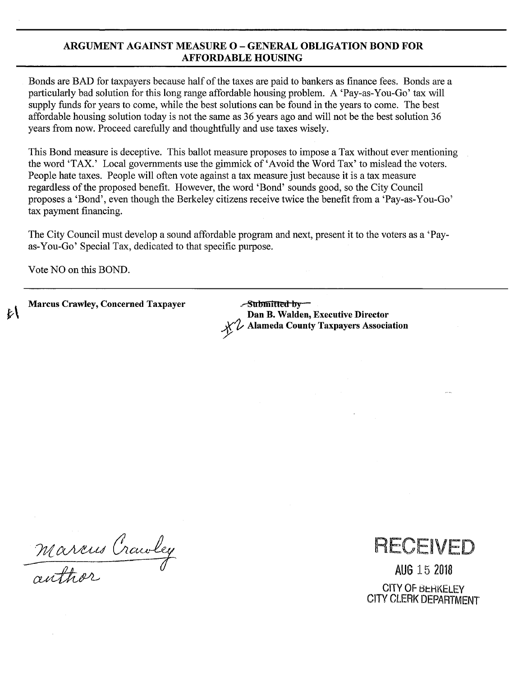#### **ARGUMENT AGAINST MEASURE O – GENERAL OBLIGATION BOND FOR AFFORDABLE HOUSING**

Bonds are BAD for taxpayers because half of the taxes are paid to bankers as finance fees. Bonds are a particularly bad solution for this long range affordable housing problem. A 'Pay-as-You-Go' tax will supply funds for years to come, while the best solutions can be found in the years to come. The best affordable housing solution today is not the same as 36 years ago and will not be the best solution 36 years from now. Proceed carefully and thoughtfully and use taxes wisely.

This Bond measure is deceptive. This ballot measure proposes to impose a Tax without ever mentioning the word 'TAX.' Local governments use the gimmick of 'Avoid the Word Tax' to mislead the voters. People hate taxes. People will often vote against a tax measure just because it is a tax measure regardless of the proposed benefit. However, the word 'Bond' sounds good, so the City Council proposes a 'Bond', even though the Berkeley citizens receive twice the benefit from a 'Pay-as-You-Go' tax payment financing.

The City Council must develop a sound affordable program and next, present it to the voters as a 'Payas-You-Go' Special Tax, dedicated to that specific purpose.

Vote NO on this BOND.

**Marcus Crawley, Concerned Taxpayer** 

 $\sim$ Submitted by Dan B. Walden, Executive Director **Alameda County Taxpayers Association** 

Marcus Crawley



AUG 15 2018 **CITY OF BEHKELEY CITY CLERK DEPARTMENT**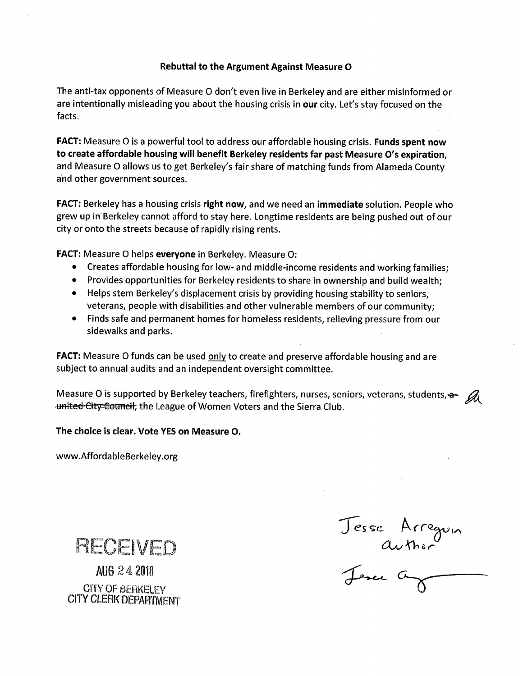#### Rebuttal to the Argument Against Measure O

The anti-tax opponents of Measure O don't even live in Berkeley and are either misinformed or are intentionally misleading you about the housing crisis in our city. Let's stay focused on the facts.

**FACT:** Measure O is a powerful tool to address our affordable housing crisis. Funds spent now to create affordable housing will benefit Berkeley residents far past Measure O's expiration, and Measure O allows us to get Berkeley's fair share of matching funds from Alameda County and other government sources.

**FACT:** Berkeley has a housing crisis right now, and we need an immediate solution. People who grew up in Berkeley cannot afford to stay here. Longtime residents are being pushed out of our city or onto the streets because of rapidly rising rents.

FACT: Measure O helps everyone in Berkeley. Measure O:

- Creates affordable housing for low- and middle-income residents and working families;
- Provides opportunities for Berkeley residents to share in ownership and build wealth;
- Helps stem Berkeley's displacement crisis by providing housing stability to seniors, veterans, people with disabilities and other vulnerable members of our community;
- Finds safe and permanent homes for homeless residents, relieving pressure from our sidewalks and parks.

**FACT:** Measure O funds can be used only to create and preserve affordable housing and are subject to annual audits and an independent oversight committee.

Measure O is supported by Berkeley teachers, firefighters, nurses, seniors, veterans, students,  $\theta$ united City Council, the League of Women Voters and the Sierra Club.

The choice is clear. Vote YES on Measure O.

www.AffordableBerkeley.org

RECEIVED

AUG 24 2018 **CITY OF BERKELEY CITY CLERK DEPARTMENT** 

Jesse Arregoin<br>author